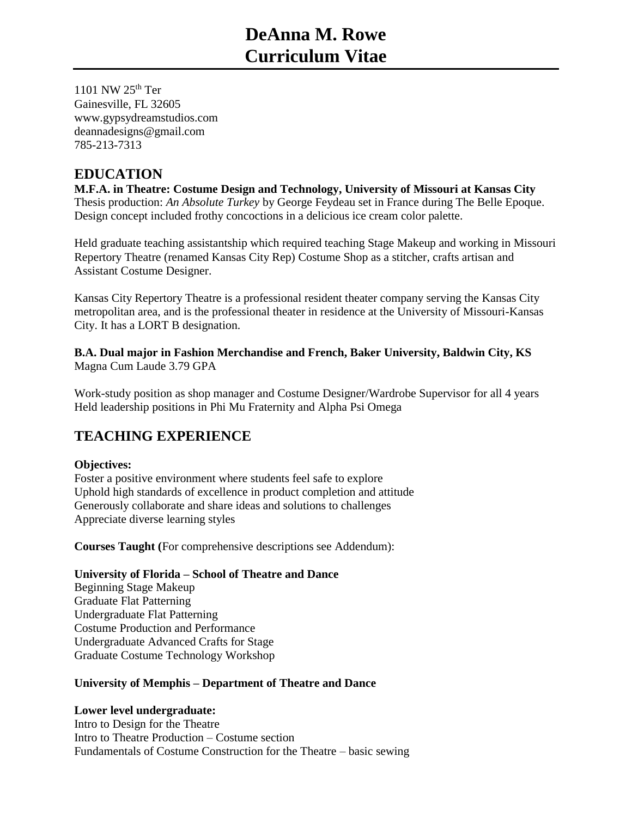# **DeAnna M. Rowe Curriculum Vitae**

1101 NW 25<sup>th</sup> Ter Gainesville, FL 32605 www.gypsydreamstudios.com deannadesigns@gmail.com 785-213-7313

## **EDUCATION**

**M.F.A. in Theatre: Costume Design and Technology, University of Missouri at Kansas City**  Thesis production: *An Absolute Turkey* by George Feydeau set in France during The Belle Epoque. Design concept included frothy concoctions in a delicious ice cream color palette.

Held graduate teaching assistantship which required teaching Stage Makeup and working in Missouri Repertory Theatre (renamed Kansas City Rep) Costume Shop as a stitcher, crafts artisan and Assistant Costume Designer.

Kansas City Repertory Theatre is a professional resident theater company serving the Kansas City metropolitan area, and is the professional theater in residence at the University of Missouri-Kansas City. It has a LORT B designation.

**B.A. Dual major in Fashion Merchandise and French, Baker University, Baldwin City, KS**  Magna Cum Laude 3.79 GPA

Work-study position as shop manager and Costume Designer/Wardrobe Supervisor for all 4 years Held leadership positions in Phi Mu Fraternity and Alpha Psi Omega

## **TEACHING EXPERIENCE**

## **Objectives:**

Foster a positive environment where students feel safe to explore Uphold high standards of excellence in product completion and attitude Generously collaborate and share ideas and solutions to challenges Appreciate diverse learning styles

**Courses Taught (**For comprehensive descriptions see Addendum):

## **University of Florida – School of Theatre and Dance**

Beginning Stage Makeup Graduate Flat Patterning Undergraduate Flat Patterning Costume Production and Performance Undergraduate Advanced Crafts for Stage Graduate Costume Technology Workshop

## **University of Memphis – Department of Theatre and Dance**

## **Lower level undergraduate:**

Intro to Design for the Theatre Intro to Theatre Production – Costume section Fundamentals of Costume Construction for the Theatre – basic sewing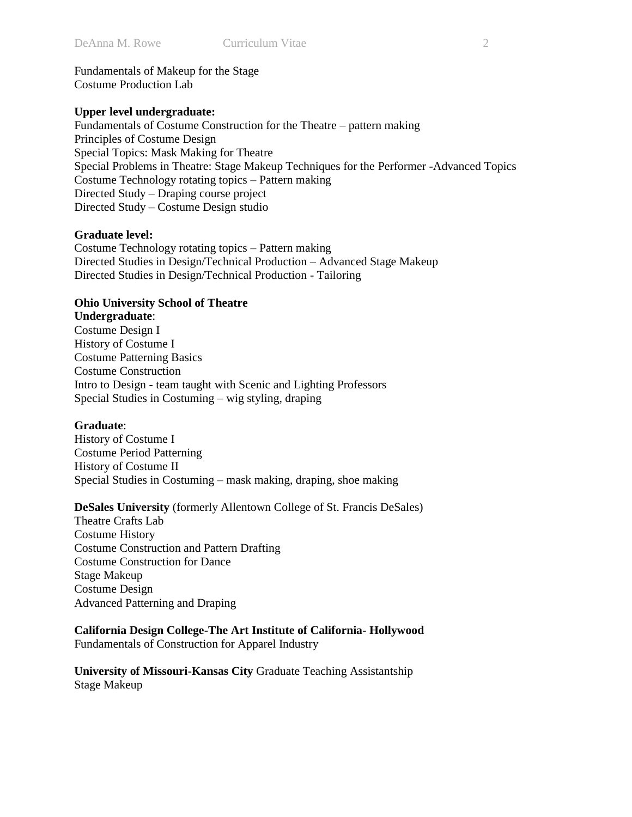Fundamentals of Makeup for the Stage Costume Production Lab

## **Upper level undergraduate:**

Fundamentals of Costume Construction for the Theatre – pattern making Principles of Costume Design Special Topics: Mask Making for Theatre Special Problems in Theatre: Stage Makeup Techniques for the Performer -Advanced Topics Costume Technology rotating topics – Pattern making Directed Study – Draping course project Directed Study – Costume Design studio

## **Graduate level:**

Costume Technology rotating topics – Pattern making Directed Studies in Design/Technical Production – Advanced Stage Makeup Directed Studies in Design/Technical Production - Tailoring

## **Ohio University School of Theatre Undergraduate**:

Costume Design I History of Costume I Costume Patterning Basics Costume Construction Intro to Design - team taught with Scenic and Lighting Professors Special Studies in Costuming – wig styling, draping

## **Graduate**:

History of Costume I Costume Period Patterning History of Costume II Special Studies in Costuming – mask making, draping, shoe making

## **DeSales University** (formerly Allentown College of St. Francis DeSales)

Theatre Crafts Lab Costume History Costume Construction and Pattern Drafting Costume Construction for Dance Stage Makeup Costume Design Advanced Patterning and Draping

**California Design College-The Art Institute of California- Hollywood**  Fundamentals of Construction for Apparel Industry

**University of Missouri-Kansas City** Graduate Teaching Assistantship Stage Makeup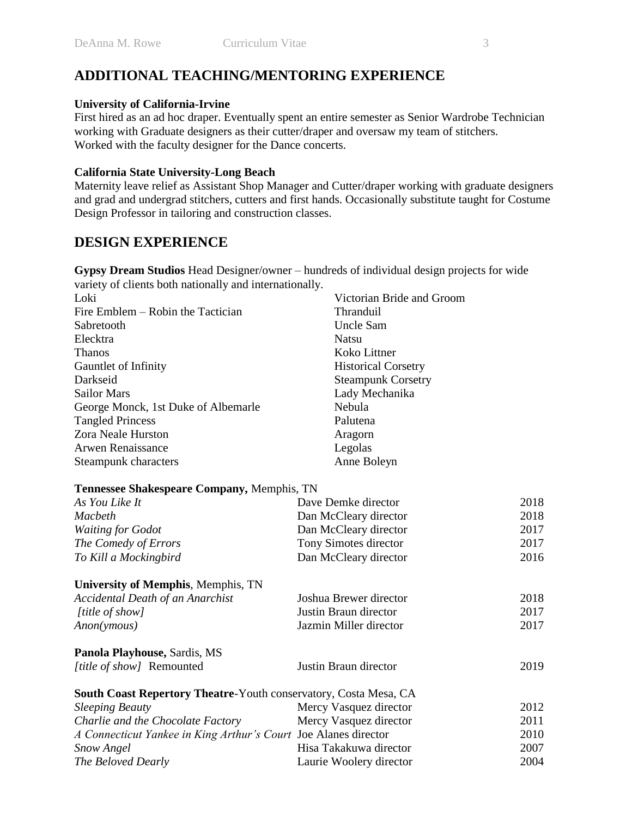## **ADDITIONAL TEACHING/MENTORING EXPERIENCE**

## **University of California-Irvine**

First hired as an ad hoc draper. Eventually spent an entire semester as Senior Wardrobe Technician working with Graduate designers as their cutter/draper and oversaw my team of stitchers. Worked with the faculty designer for the Dance concerts.

## **California State University-Long Beach**

Maternity leave relief as Assistant Shop Manager and Cutter/draper working with graduate designers and grad and undergrad stitchers, cutters and first hands. Occasionally substitute taught for Costume Design Professor in tailoring and construction classes.

## **DESIGN EXPERIENCE**

**Gypsy Dream Studios** Head Designer/owner – hundreds of individual design projects for wide variety of clients both nationally and internationally.

| Loki                                                             | Victorian Bride and Groom  |      |
|------------------------------------------------------------------|----------------------------|------|
| Fire Emblem – Robin the Tactician                                | Thranduil                  |      |
| Sabretooth                                                       | <b>Uncle Sam</b>           |      |
| Elecktra                                                         | <b>Natsu</b>               |      |
| <b>Thanos</b>                                                    | Koko Littner               |      |
| Gauntlet of Infinity                                             | <b>Historical Corsetry</b> |      |
| Darkseid                                                         | <b>Steampunk Corsetry</b>  |      |
| <b>Sailor Mars</b>                                               | Lady Mechanika             |      |
| George Monck, 1st Duke of Albemarle                              | Nebula                     |      |
| <b>Tangled Princess</b>                                          | Palutena                   |      |
| Zora Neale Hurston                                               | Aragorn                    |      |
| <b>Arwen Renaissance</b>                                         | Legolas                    |      |
| Steampunk characters                                             | Anne Boleyn                |      |
| Tennessee Shakespeare Company, Memphis, TN                       |                            |      |
| As You Like It                                                   | Dave Demke director        | 2018 |
| Macbeth                                                          | Dan McCleary director      | 2018 |
| <b>Waiting for Godot</b>                                         | Dan McCleary director      | 2017 |
| The Comedy of Errors                                             | Tony Simotes director      | 2017 |
| To Kill a Mockingbird                                            | Dan McCleary director      | 2016 |
| <b>University of Memphis, Memphis, TN</b>                        |                            |      |
| <b>Accidental Death of an Anarchist</b>                          | Joshua Brewer director     | 2018 |
| [title of show]                                                  | Justin Braun director      | 2017 |
| Anon(ymous)                                                      | Jazmin Miller director     | 2017 |
| Panola Playhouse, Sardis, MS                                     |                            |      |
| [title of show] Remounted                                        | Justin Braun director      | 2019 |
| South Coast Repertory Theatre-Youth conservatory, Costa Mesa, CA |                            |      |
| <b>Sleeping Beauty</b>                                           | Mercy Vasquez director     | 2012 |
| Charlie and the Chocolate Factory                                | Mercy Vasquez director     | 2011 |
| A Connecticut Yankee in King Arthur's Court Joe Alanes director  |                            | 2010 |
| Snow Angel                                                       | Hisa Takakuwa director     | 2007 |
| The Beloved Dearly                                               | Laurie Woolery director    | 2004 |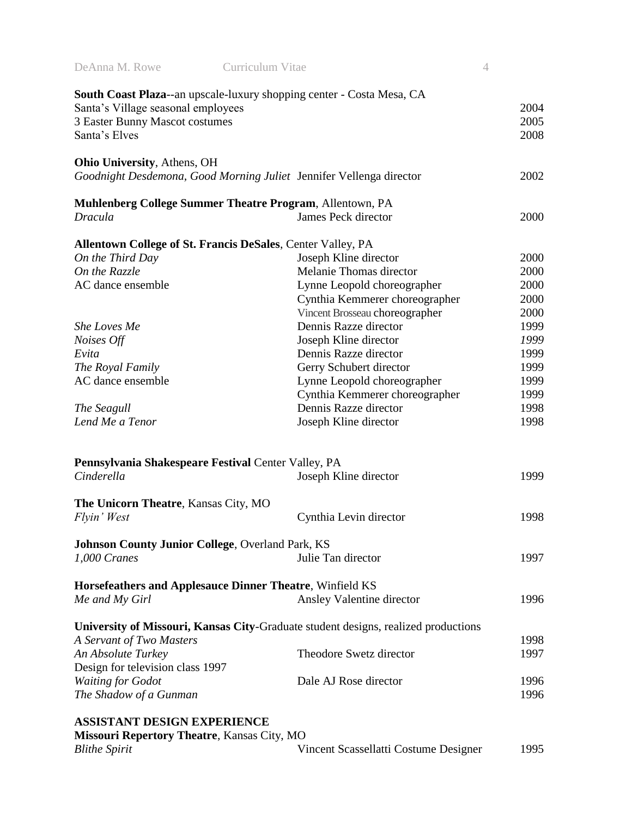| DeAnna M. Rowe                                          | Curriculum Vitae                                                                   | $\overline{4}$ |
|---------------------------------------------------------|------------------------------------------------------------------------------------|----------------|
|                                                         | <b>South Coast Plaza--an upscale-luxury shopping center - Costa Mesa, CA</b>       |                |
| Santa's Village seasonal employees                      |                                                                                    | 2004           |
| 3 Easter Bunny Mascot costumes                          |                                                                                    | 2005           |
| Santa's Elves                                           |                                                                                    | 2008           |
|                                                         |                                                                                    |                |
| <b>Ohio University, Athens, OH</b>                      |                                                                                    |                |
|                                                         | Goodnight Desdemona, Good Morning Juliet Jennifer Vellenga director                | 2002           |
|                                                         | Muhlenberg College Summer Theatre Program, Allentown, PA                           |                |
| <b>Dracula</b>                                          | James Peck director                                                                | 2000           |
|                                                         |                                                                                    |                |
|                                                         | <b>Allentown College of St. Francis DeSales, Center Valley, PA</b>                 |                |
| On the Third Day                                        | Joseph Kline director                                                              | 2000           |
| On the Razzle                                           | Melanie Thomas director                                                            | 2000           |
| AC dance ensemble                                       | Lynne Leopold choreographer                                                        | 2000           |
|                                                         | Cynthia Kemmerer choreographer                                                     | 2000           |
|                                                         | Vincent Brosseau choreographer                                                     | 2000           |
| <b>She Loves Me</b>                                     | Dennis Razze director                                                              | 1999           |
| Noises Off                                              | Joseph Kline director                                                              | 1999           |
| Evita                                                   | Dennis Razze director                                                              | 1999           |
| The Royal Family                                        | Gerry Schubert director                                                            | 1999           |
| AC dance ensemble                                       | Lynne Leopold choreographer                                                        | 1999           |
|                                                         | Cynthia Kemmerer choreographer                                                     | 1999           |
| The Seagull                                             | Dennis Razze director                                                              | 1998           |
| Lend Me a Tenor                                         | Joseph Kline director                                                              | 1998           |
| Pennsylvania Shakespeare Festival Center Valley, PA     |                                                                                    |                |
| Cinderella                                              | Joseph Kline director                                                              | 1999           |
| The Unicorn Theatre, Kansas City, MO                    |                                                                                    |                |
| Flyin' West                                             | Cynthia Levin director                                                             | 1998           |
|                                                         |                                                                                    |                |
| <b>Johnson County Junior College, Overland Park, KS</b> |                                                                                    |                |
| 1,000 Cranes                                            | Julie Tan director                                                                 | 1997           |
|                                                         | Horsefeathers and Applesauce Dinner Theatre, Winfield KS                           |                |
| Me and My Girl                                          | Ansley Valentine director                                                          | 1996           |
|                                                         | University of Missouri, Kansas City-Graduate student designs, realized productions |                |
| A Servant of Two Masters                                |                                                                                    | 1998           |
| An Absolute Turkey                                      | Theodore Swetz director                                                            | 1997           |
| Design for television class 1997                        |                                                                                    |                |
| <b>Waiting for Godot</b>                                | Dale AJ Rose director                                                              | 1996           |
|                                                         |                                                                                    | 1996           |
| The Shadow of a Gunman                                  |                                                                                    |                |
| <b>ASSISTANT DESIGN EXPERIENCE</b>                      |                                                                                    |                |
| <b>Missouri Repertory Theatre, Kansas City, MO</b>      |                                                                                    |                |
| <b>Blithe Spirit</b>                                    | Vincent Scassellatti Costume Designer                                              | 1995           |
|                                                         |                                                                                    |                |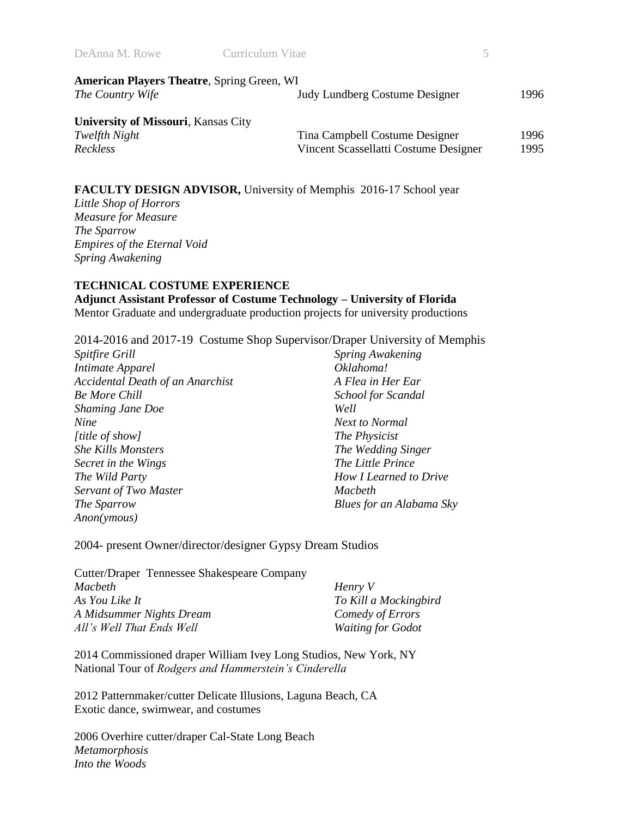| DeAnna M. Rowe                                    | Curriculum Vitae                      |       |
|---------------------------------------------------|---------------------------------------|-------|
| <b>American Players Theatre, Spring Green, WI</b> |                                       |       |
| The Country Wife                                  | <b>Judy Lundberg Costume Designer</b> | 1996. |
| <b>University of Missouri, Kansas City</b>        |                                       |       |
| Twelfth Night                                     | Tina Campbell Costume Designer        | 1996. |
| Reckless                                          | Vincent Scassellatti Costume Designer | 1995  |

## **FACULTY DESIGN ADVISOR,** University of Memphis 2016-17 School year

*Little Shop of Horrors Measure for Measure The Sparrow Empires of the Eternal Void Spring Awakening*

## **TECHNICAL COSTUME EXPERIENCE**

**Adjunct Assistant Professor of Costume Technology – University of Florida** Mentor Graduate and undergraduate production projects for university productions

2014-2016 and 2017-19 Costume Shop Supervisor/Draper University of Memphis

*Spitfire Grill Intimate Apparel Accidental Death of an Anarchist Be More Chill Shaming Jane Doe Nine [title of show] She Kills Monsters Secret in the Wings The Wild Party Servant of Two Master The Sparrow Anon(ymous)*

*Spring Awakening Oklahoma! A Flea in Her Ear School for Scandal Well Next to Normal The Physicist The Wedding Singer The Little Prince How I Learned to Drive Macbeth Blues for an Alabama Sky*

2004- present Owner/director/designer Gypsy Dream Studios

| Cutter/Draper Tennessee Shakespeare Company |                          |
|---------------------------------------------|--------------------------|
| <i>Macbeth</i>                              | Henry V                  |
| As You Like It                              | To Kill a Mockingbird    |
| A Midsummer Nights Dream                    | Comedy of Errors         |
| All's Well That Ends Well                   | <b>Waiting for Godot</b> |

2014 Commissioned draper William Ivey Long Studios, New York, NY National Tour of *Rodgers and Hammerstein's Cinderella* 

2012 Patternmaker/cutter Delicate Illusions, Laguna Beach, CA Exotic dance, swimwear, and costumes

2006 Overhire cutter/draper Cal-State Long Beach *Metamorphosis Into the Woods*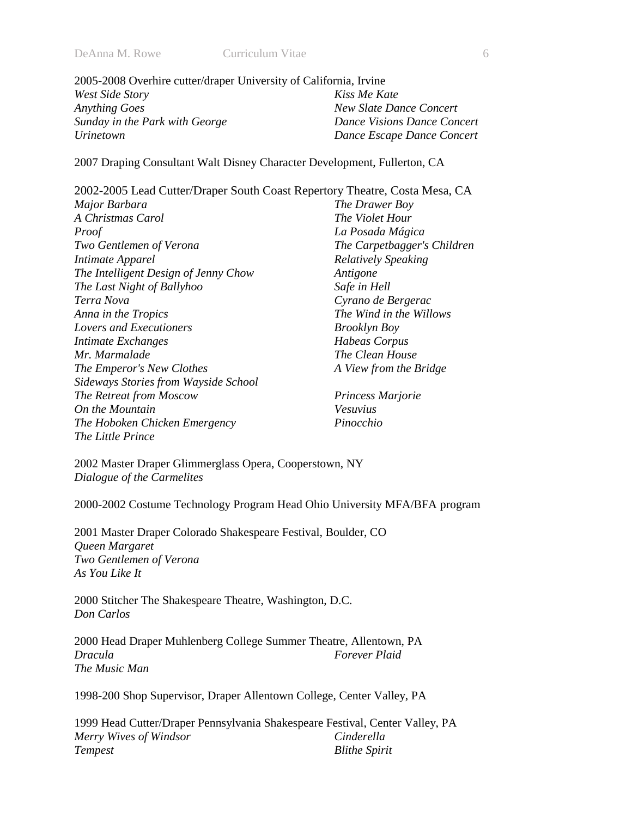| 2005-2008 Overhire cutter/draper University of California, Irvine |                             |
|-------------------------------------------------------------------|-----------------------------|
| West Side Story                                                   | Kiss Me Kate                |
| <b>Anything Goes</b>                                              | New Slate Dance Concert     |
| Sunday in the Park with George                                    | Dance Visions Dance Concert |
| <i>Urinetown</i>                                                  | Dance Escape Dance Concert  |

2007 Draping Consultant Walt Disney Character Development, Fullerton, CA

| 2002-2005 Lead Cutter/Draper South Coast Repertory Theatre, Costa Mesa, CA |                             |
|----------------------------------------------------------------------------|-----------------------------|
| Major Barbara                                                              | The Drawer Boy              |
| A Christmas Carol                                                          | <i>The Violet Hour</i>      |
| Proof                                                                      | La Posada Mágica            |
| Two Gentlemen of Verona                                                    | The Carpetbagger's Children |
| Intimate Apparel                                                           | <b>Relatively Speaking</b>  |
| The Intelligent Design of Jenny Chow                                       | Antigone                    |
| The Last Night of Ballyhoo                                                 | Safe in Hell                |
| Terra Nova                                                                 | Cyrano de Bergerac          |
| Anna in the Tropics                                                        | The Wind in the Willows     |
| Lovers and Executioners                                                    | <b>Brooklyn Boy</b>         |
| Intimate Exchanges                                                         | <b>Habeas Corpus</b>        |
| Mr. Marmalade                                                              | The Clean House             |
| The Emperor's New Clothes                                                  | A View from the Bridge      |
| Sideways Stories from Wayside School                                       |                             |
| The Retreat from Moscow                                                    | Princess Marjorie           |
| On the Mountain                                                            | Vesuvius                    |
| The Hoboken Chicken Emergency                                              | Pinocchio                   |
| The Little Prince                                                          |                             |

2002 Master Draper Glimmerglass Opera, Cooperstown, NY *Dialogue of the Carmelites* 

2000-2002 Costume Technology Program Head Ohio University MFA/BFA program

2001 Master Draper Colorado Shakespeare Festival, Boulder, CO *Queen Margaret Two Gentlemen of Verona As You Like It* 

2000 Stitcher The Shakespeare Theatre, Washington, D.C. *Don Carlos* 

2000 Head Draper Muhlenberg College Summer Theatre, Allentown, PA *Dracula The Music Man Forever Plaid* 

1998-200 Shop Supervisor, Draper Allentown College, Center Valley, PA

1999 Head Cutter/Draper Pennsylvania Shakespeare Festival, Center Valley, PA *Merry Wives of Windsor Tempest Cinderella Blithe Spirit*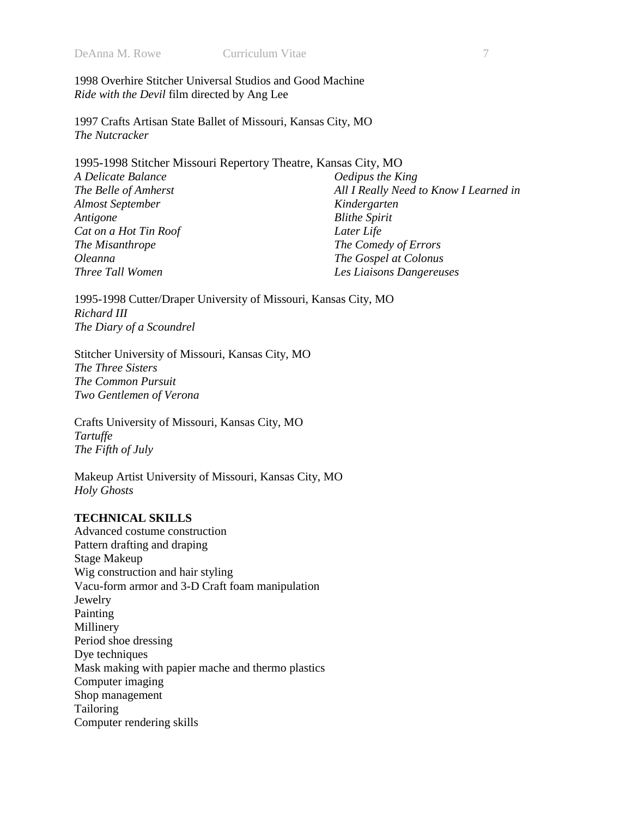1998 Overhire Stitcher Universal Studios and Good Machine *Ride with the Devil* film directed by Ang Lee

1997 Crafts Artisan State Ballet of Missouri, Kansas City, MO *The Nutcracker* 

| 1995-1998 Stitcher Missouri Repertory Theatre, Kansas City, MO |                                        |
|----------------------------------------------------------------|----------------------------------------|
| A Delicate Balance                                             | Oedipus the King                       |
| The Belle of Amherst                                           | All I Really Need to Know I Learned in |
| <b>Almost September</b>                                        | Kindergarten                           |
| Antigone                                                       | <b>Blithe Spirit</b>                   |
| Cat on a Hot Tin Roof                                          | Later Life                             |
| The Misanthrope                                                | The Comedy of Errors                   |
| <i>Oleanna</i>                                                 | The Gospel at Colonus                  |
| Three Tall Women                                               | Les Liaisons Dangereuses               |

1995-1998 Cutter/Draper University of Missouri, Kansas City, MO *Richard III The Diary of a Scoundrel* 

Stitcher University of Missouri, Kansas City, MO *The Three Sisters The Common Pursuit Two Gentlemen of Verona* 

Crafts University of Missouri, Kansas City, MO *Tartuffe The Fifth of July* 

Makeup Artist University of Missouri, Kansas City, MO *Holy Ghosts* 

## **TECHNICAL SKILLS**

Advanced costume construction Pattern drafting and draping Stage Makeup Wig construction and hair styling Vacu-form armor and 3-D Craft foam manipulation Jewelry Painting Millinery Period shoe dressing Dye techniques Mask making with papier mache and thermo plastics Computer imaging Shop management Tailoring Computer rendering skills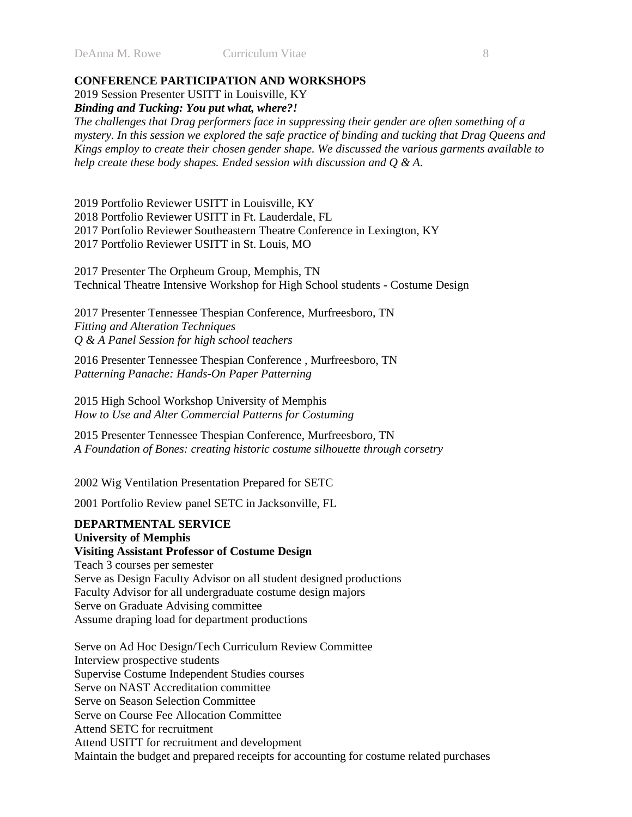DeAnna M. Rowe Curriculum Vitae 8

## **CONFERENCE PARTICIPATION AND WORKSHOPS**

2019 Session Presenter USITT in Louisville, KY *Binding and Tucking: You put what, where?!*

*The challenges that Drag performers face in suppressing their gender are often something of a mystery. In this session we explored the safe practice of binding and tucking that Drag Queens and Kings employ to create their chosen gender shape. We discussed the various garments available to help create these body shapes. Ended session with discussion and Q & A.*

2019 Portfolio Reviewer USITT in Louisville, KY 2018 Portfolio Reviewer USITT in Ft. Lauderdale, FL 2017 Portfolio Reviewer Southeastern Theatre Conference in Lexington, KY 2017 Portfolio Reviewer USITT in St. Louis, MO

2017 Presenter The Orpheum Group, Memphis, TN Technical Theatre Intensive Workshop for High School students - Costume Design

2017 Presenter Tennessee Thespian Conference, Murfreesboro, TN *Fitting and Alteration Techniques Q & A Panel Session for high school teachers* 

2016 Presenter Tennessee Thespian Conference , Murfreesboro, TN *Patterning Panache: Hands-On Paper Patterning* 

2015 High School Workshop University of Memphis *How to Use and Alter Commercial Patterns for Costuming* 

2015 Presenter Tennessee Thespian Conference, Murfreesboro, TN *A Foundation of Bones: creating historic costume silhouette through corsetry*

2002 Wig Ventilation Presentation Prepared for SETC

2001 Portfolio Review panel SETC in Jacksonville, FL

## **DEPARTMENTAL SERVICE University of Memphis**

## **Visiting Assistant Professor of Costume Design**  Teach 3 courses per semester Serve as Design Faculty Advisor on all student designed productions

Faculty Advisor for all undergraduate costume design majors

Serve on Graduate Advising committee

Assume draping load for department productions

Serve on Ad Hoc Design/Tech Curriculum Review Committee Interview prospective students Supervise Costume Independent Studies courses Serve on NAST Accreditation committee Serve on Season Selection Committee Serve on Course Fee Allocation Committee Attend SETC for recruitment Attend USITT for recruitment and development Maintain the budget and prepared receipts for accounting for costume related purchases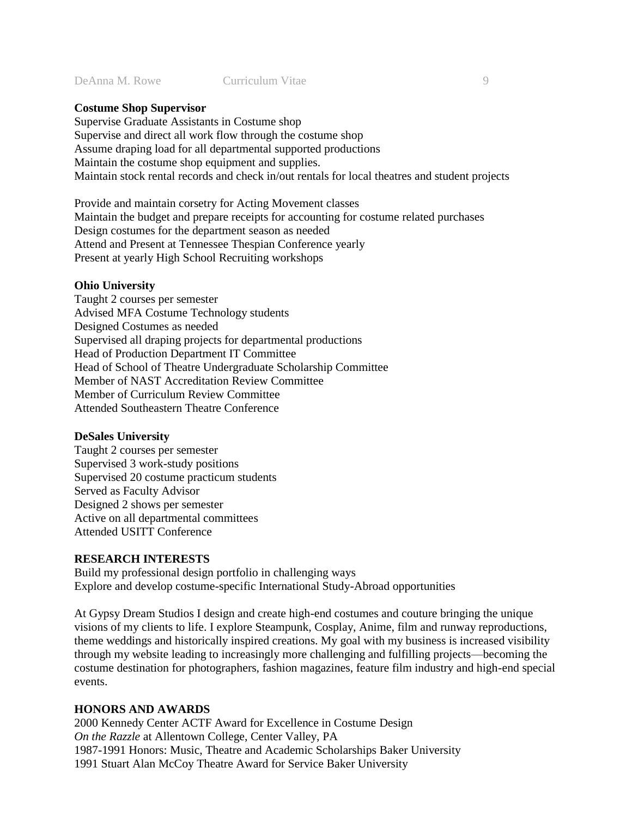### **Costume Shop Supervisor**

Supervise Graduate Assistants in Costume shop Supervise and direct all work flow through the costume shop Assume draping load for all departmental supported productions Maintain the costume shop equipment and supplies. Maintain stock rental records and check in/out rentals for local theatres and student projects

Provide and maintain corsetry for Acting Movement classes Maintain the budget and prepare receipts for accounting for costume related purchases Design costumes for the department season as needed Attend and Present at Tennessee Thespian Conference yearly Present at yearly High School Recruiting workshops

#### **Ohio University**

Taught 2 courses per semester Advised MFA Costume Technology students Designed Costumes as needed Supervised all draping projects for departmental productions Head of Production Department IT Committee Head of School of Theatre Undergraduate Scholarship Committee Member of NAST Accreditation Review Committee Member of Curriculum Review Committee Attended Southeastern Theatre Conference

#### **DeSales University**

Taught 2 courses per semester Supervised 3 work-study positions Supervised 20 costume practicum students Served as Faculty Advisor Designed 2 shows per semester Active on all departmental committees Attended USITT Conference

#### **RESEARCH INTERESTS**

Build my professional design portfolio in challenging ways Explore and develop costume-specific International Study-Abroad opportunities

At Gypsy Dream Studios I design and create high-end costumes and couture bringing the unique visions of my clients to life. I explore Steampunk, Cosplay, Anime, film and runway reproductions, theme weddings and historically inspired creations. My goal with my business is increased visibility through my website leading to increasingly more challenging and fulfilling projects—becoming the costume destination for photographers, fashion magazines, feature film industry and high-end special events.

#### **HONORS AND AWARDS**

2000 Kennedy Center ACTF Award for Excellence in Costume Design *On the Razzle* at Allentown College, Center Valley, PA 1987-1991 Honors: Music, Theatre and Academic Scholarships Baker University 1991 Stuart Alan McCoy Theatre Award for Service Baker University